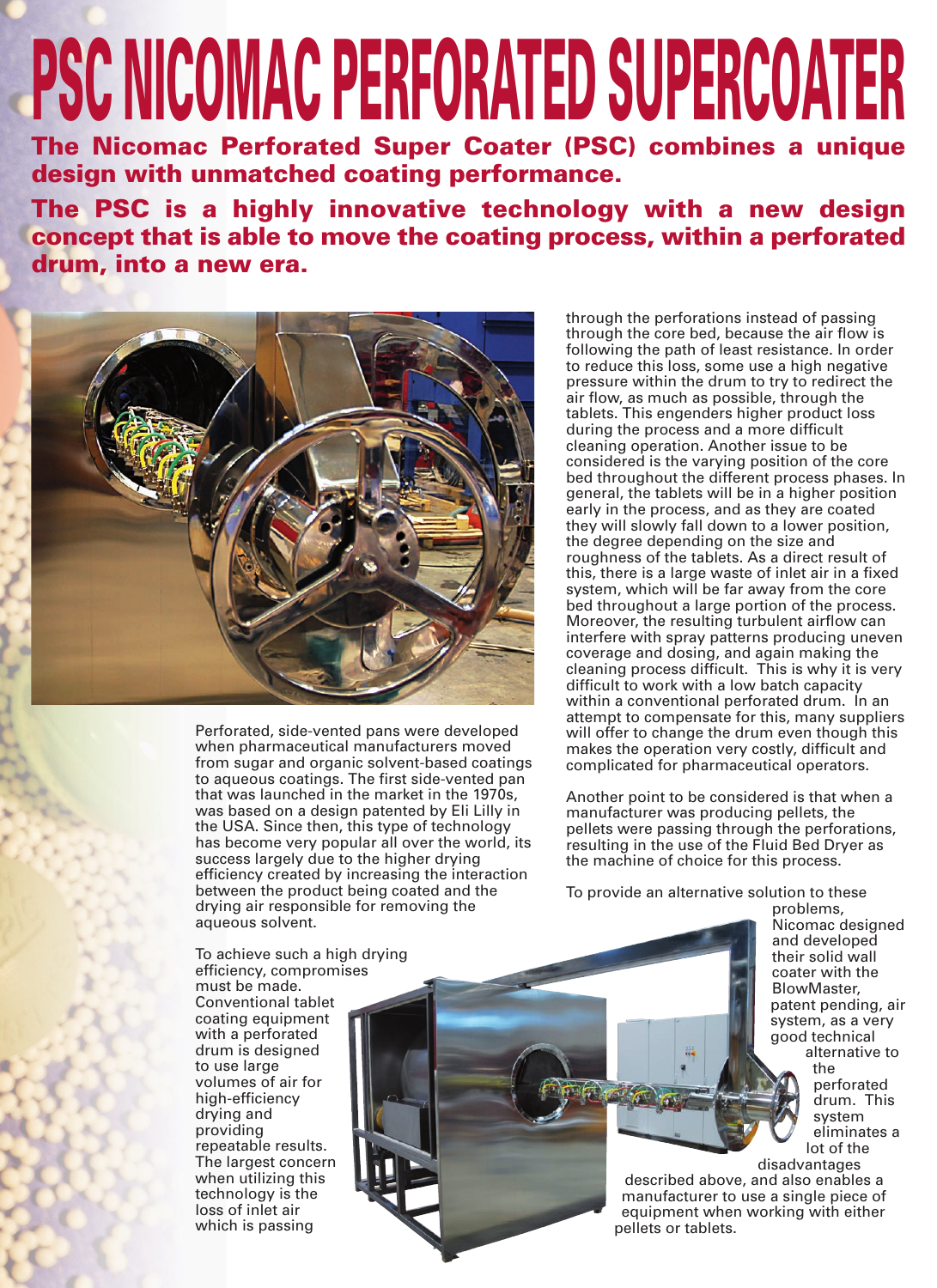## **PSC NICOMAC PERFORATED SUPERCOATER**

**The Nicomac Perforated Super Coater (PSC) combines a unique design with unmatched coating performance.**

**The PSC is a highly innovative technology with a new design concept that is able to move the coating process, within a perforated drum, into a new era.**



Perforated, side-vented pans were developed when pharmaceutical manufacturers moved from sugar and organic solvent-based coatings to aqueous coatings. The first side-vented pan that was launched in the market in the 1970s, was based on a design patented by Eli Lilly in the USA. Since then, this type of technology has become very popular all over the world, its success largely due to the higher drying efficiency created by increasing the interaction between the product being coated and the drying air responsible for removing the aqueous solvent.

through the perforations instead of passing through the core bed, because the air flow is following the path of least resistance. In order to reduce this loss, some use a high negative pressure within the drum to try to redirect the air flow, as much as possible, through the tablets. This engenders higher product loss during the process and a more difficult cleaning operation. Another issue to be considered is the varying position of the core bed throughout the different process phases. In general, the tablets will be in a higher position early in the process, and as they are coated they will slowly fall down to a lower position, the degree depending on the size and roughness of the tablets. As a direct result of this, there is a large waste of inlet air in a fixed system, which will be far away from the core bed throughout a large portion of the process. Moreover, the resulting turbulent airflow can interfere with spray patterns producing uneven coverage and dosing, and again making the cleaning process difficult. This is why it is very difficult to work with a low batch capacity within a conventional perforated drum. In an attempt to compensate for this, many suppliers will offer to change the drum even though this makes the operation very costly, difficult and complicated for pharmaceutical operators.

Another point to be considered is that when a manufacturer was producing pellets, the pellets were passing through the perforations, resulting in the use of the Fluid Bed Dryer as the machine of choice for this process.

To provide an alternative solution to these

problems, Nicomac designed and developed their solid wall coater with the BlowMaster, patent pending, air system, as a very good technical alternative to the

perforated drum. This system eliminates a lot of the disadvantages

described above, and also enables a manufacturer to use a single piece of equipment when working with either pellets or tablets.

To achieve such a high drying efficiency, compromises must be made. Conventional tablet coating equipment with a perforated drum is designed to use large volumes of air for high-efficiency drying and providing repeatable results. The largest concern when utilizing this technology is the loss of inlet air which is passing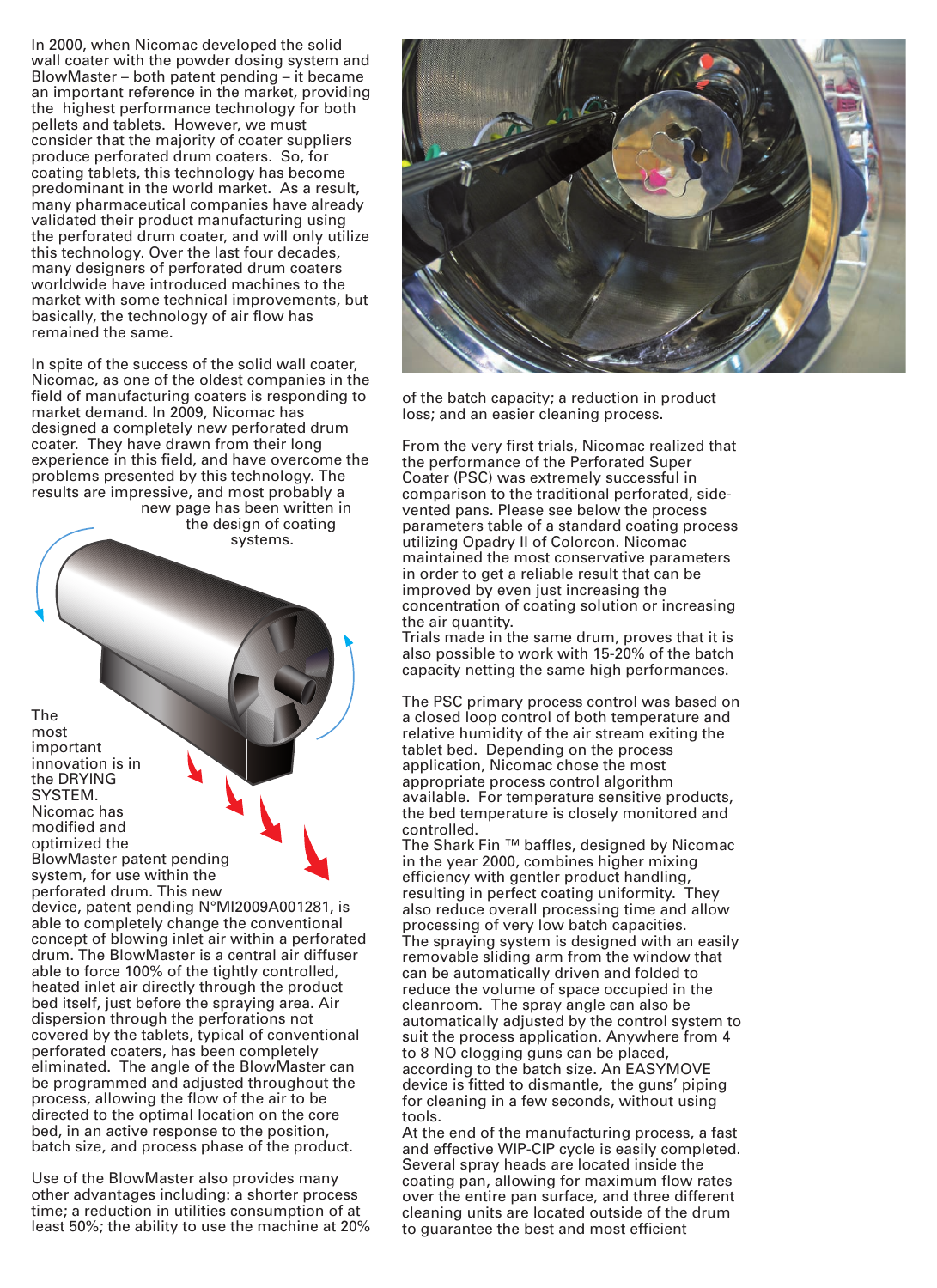In 2000, when Nicomac developed the solid wall coater with the powder dosing system and BlowMaster – both patent pending – it became an important reference in the market, providing the highest performance technology for both pellets and tablets. However, we must consider that the majority of coater suppliers produce perforated drum coaters. So, for coating tablets, this technology has become predominant in the world market. As a result, many pharmaceutical companies have already validated their product manufacturing using the perforated drum coater, and will only utilize this technology. Over the last four decades, many designers of perforated drum coaters worldwide have introduced machines to the market with some technical improvements, but basically, the technology of air flow has remained the same.

In spite of the success of the solid wall coater, Nicomac, as one of the oldest companies in the field of manufacturing coaters is responding to market demand. In 2009, Nicomac has designed a completely new perforated drum coater. They have drawn from their long experience in this field, and have overcome the problems presented by this technology. The results are impressive, and most probably a new page has been written in

the design of coating systems.

The most important innovation is in the DRYING SYSTEM. Nicomac has modified and optimized the BlowMaster patent pending system, for use within the perforated drum. This new

device, patent pending N°MI2009A001281, is able to completely change the conventional concept of blowing inlet air within a perforated drum. The BlowMaster is a central air diffuser able to force 100% of the tightly controlled, heated inlet air directly through the product bed itself, just before the spraying area. Air dispersion through the perforations not covered by the tablets, typical of conventional perforated coaters, has been completely eliminated. The angle of the BlowMaster can be programmed and adjusted throughout the process, allowing the flow of the air to be directed to the optimal location on the core bed, in an active response to the position, batch size, and process phase of the product.

Use of the BlowMaster also provides many other advantages including: a shorter process time; a reduction in utilities consumption of at least 50%; the ability to use the machine at 20%



of the batch capacity; a reduction in product loss; and an easier cleaning process.

From the very first trials, Nicomac realized that the performance of the Perforated Super Coater (PSC) was extremely successful in comparison to the traditional perforated, sidevented pans. Please see below the process parameters table of a standard coating process utilizing Opadry II of Colorcon. Nicomac maintained the most conservative parameters in order to get a reliable result that can be improved by even just increasing the concentration of coating solution or increasing the air quantity.

Trials made in the same drum, proves that it is also possible to work with 15-20% of the batch capacity netting the same high performances.

The PSC primary process control was based on a closed loop control of both temperature and relative humidity of the air stream exiting the tablet bed. Depending on the process application, Nicomac chose the most appropriate process control algorithm available. For temperature sensitive products, the bed temperature is closely monitored and controlled.

The Shark Fin ™ baffles, designed by Nicomac in the year 2000, combines higher mixing efficiency with gentler product handling, resulting in perfect coating uniformity. They also reduce overall processing time and allow processing of very low batch capacities. The spraying system is designed with an easily removable sliding arm from the window that can be automatically driven and folded to reduce the volume of space occupied in the cleanroom. The spray angle can also be automatically adjusted by the control system to suit the process application. Anywhere from 4 to 8 NO clogging guns can be placed, according to the batch size. An EASYMOVE device is fitted to dismantle, the guns' piping for cleaning in a few seconds, without using tools.

At the end of the manufacturing process, a fast and effective WIP-CIP cycle is easily completed. Several spray heads are located inside the coating pan, allowing for maximum flow rates over the entire pan surface, and three different cleaning units are located outside of the drum to guarantee the best and most efficient